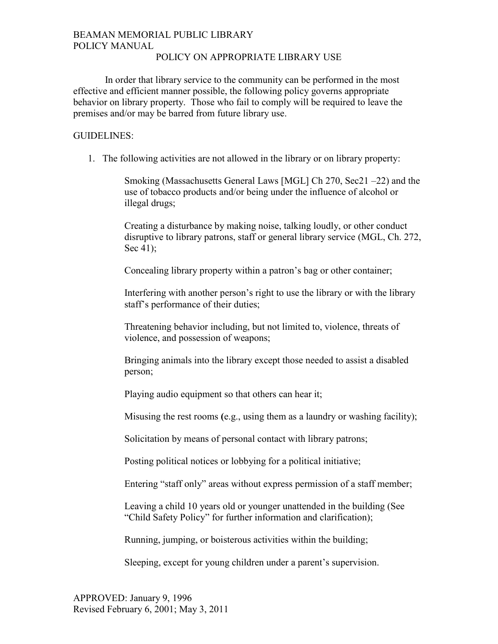# BEAMAN MEMORIAL PUBLIC LIBRARY POLICY MANUAL

### POLICY ON APPROPRIATE LIBRARY USE

 In order that library service to the community can be performed in the most effective and efficient manner possible, the following policy governs appropriate behavior on library property. Those who fail to comply will be required to leave the premises and/or may be barred from future library use.

## GUIDELINES:

1. The following activities are not allowed in the library or on library property:

Smoking (Massachusetts General Laws [MGL] Ch 270, Sec21 –22) and the use of tobacco products and/or being under the influence of alcohol or illegal drugs;

Creating a disturbance by making noise, talking loudly, or other conduct disruptive to library patrons, staff or general library service (MGL, Ch. 272, Sec 41);

Concealing library property within a patron's bag or other container;

Interfering with another person's right to use the library or with the library staff's performance of their duties;

Threatening behavior including, but not limited to, violence, threats of violence, and possession of weapons;

Bringing animals into the library except those needed to assist a disabled person;

Playing audio equipment so that others can hear it;

Misusing the rest rooms **(**e.g., using them as a laundry or washing facility);

Solicitation by means of personal contact with library patrons;

Posting political notices or lobbying for a political initiative;

Entering "staff only" areas without express permission of a staff member;

Leaving a child 10 years old or younger unattended in the building (See "Child Safety Policy" for further information and clarification);

Running, jumping, or boisterous activities within the building;

Sleeping, except for young children under a parent's supervision.

APPROVED: January 9, 1996 Revised February 6, 2001; May 3, 2011